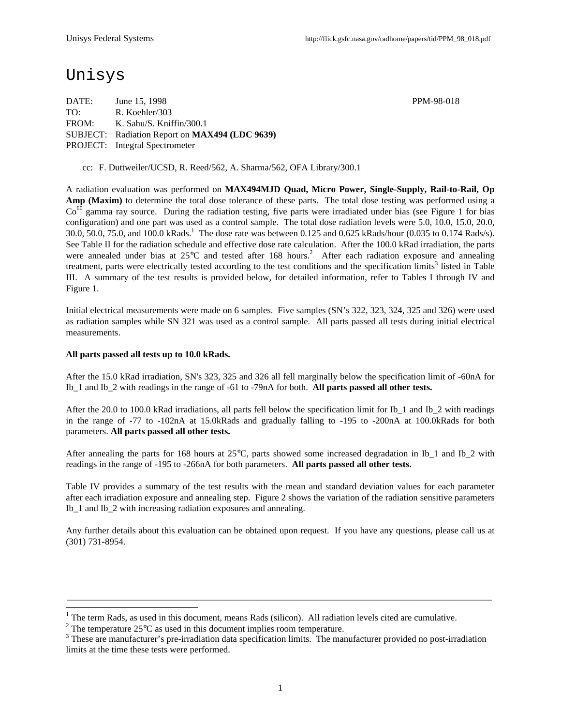## Unisys

DATE: June 15, 1998 PPM-98-018 TO: R. Koehler/303 FROM: K. Sahu/S. Kniffin/300.1 SUBJECT: Radiation Report on **MAX494 (LDC 9639)** PROJECT: Integral Spectrometer

cc: F. Duttweiler/UCSD, R. Reed/562, A. Sharma/562, OFA Library/300.1

A radiation evaluation was performed on **MAX494MJD Quad, Micro Power, Single-Supply, Rail-to-Rail, Op Amp (Maxim)** to determine the total dose tolerance of these parts. The total dose testing was performed using a  $Co<sup>60</sup>$  gamma ray source. During the radiation testing, five parts were irradiated under bias (see Figure 1 for bias configuration) and one part was used as a control sample. The total dose radiation levels were 5.0, 10.0, 15.0, 20.0, 30.0, 50.0, 75.0, and 100.0 kRads.<sup>1</sup> The dose rate was between 0.125 and 0.625 kRads/hour (0.035 to 0.174 Rads/s). See Table II for the radiation schedule and effective dose rate calculation. After the 100.0 kRad irradiation, the parts were annealed under bias at  $25^{\circ}$ C and tested after 168 hours.<sup>2</sup> After each radiation exposure and annealing treatment, parts were electrically tested according to the test conditions and the specification limits<sup>3</sup> listed in Table III. A summary of the test results is provided below, for detailed information, refer to Tables I through IV and Figure 1.

Initial electrical measurements were made on 6 samples. Five samples (SN's 322, 323, 324, 325 and 326) were used as radiation samples while SN 321 was used as a control sample. All parts passed all tests during initial electrical measurements.

#### **All parts passed all tests up to 10.0 kRads.**

 $\overline{a}$ 

After the 15.0 kRad irradiation, SN's 323, 325 and 326 all fell marginally below the specification limit of -60nA for Ib\_1 and Ib\_2 with readings in the range of -61 to -79nA for both. **All parts passed all other tests.**

After the 20.0 to 100.0 kRad irradiations, all parts fell below the specification limit for Ib 1 and Ib 2 with readings in the range of -77 to -102nA at 15.0kRads and gradually falling to -195 to -200nA at 100.0kRads for both parameters. **All parts passed all other tests.**

After annealing the parts for 168 hours at 25°C, parts showed some increased degradation in Ib\_1 and Ib\_2 with readings in the range of -195 to -266nA for both parameters. **All parts passed all other tests.**

Table IV provides a summary of the test results with the mean and standard deviation values for each parameter after each irradiation exposure and annealing step. Figure 2 shows the variation of the radiation sensitive parameters Ib\_1 and Ib\_2 with increasing radiation exposures and annealing.

Any further details about this evaluation can be obtained upon request. If you have any questions, please call us at (301) 731-8954.

\_\_\_\_\_\_\_\_\_\_\_\_\_\_\_\_\_\_\_\_\_\_\_\_\_\_\_\_\_\_\_\_\_\_\_\_\_\_\_\_\_\_\_\_\_\_\_\_\_\_\_\_\_\_\_\_\_\_\_\_\_\_\_\_\_\_\_\_\_\_\_\_\_\_\_\_\_\_\_\_\_\_\_\_\_\_\_\_\_\_\_\_

<sup>1</sup> The term Rads, as used in this document, means Rads (silicon). All radiation levels cited are cumulative.

<sup>&</sup>lt;sup>2</sup> The temperature 25 $\rm{°C}$  as used in this document implies room temperature.

 $3$  These are manufacturer's pre-irradiation data specification limits. The manufacturer provided no post-irradiation limits at the time these tests were performed.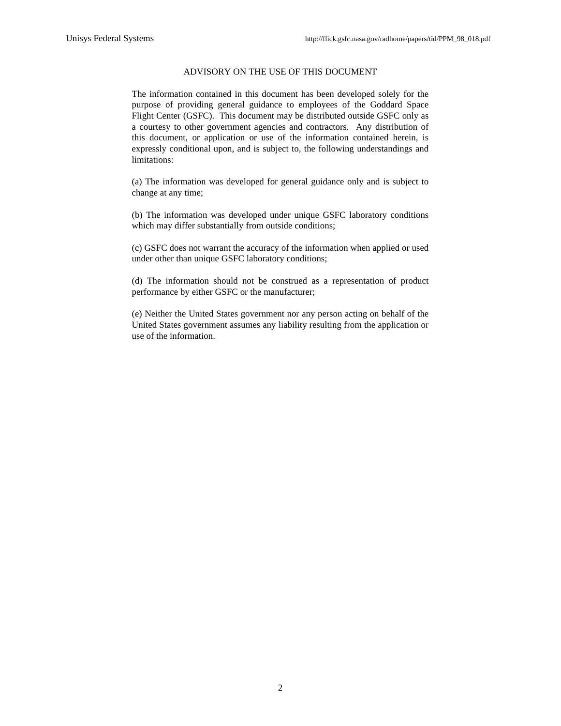#### ADVISORY ON THE USE OF THIS DOCUMENT

The information contained in this document has been developed solely for the purpose of providing general guidance to employees of the Goddard Space Flight Center (GSFC). This document may be distributed outside GSFC only as a courtesy to other government agencies and contractors. Any distribution of this document, or application or use of the information contained herein, is expressly conditional upon, and is subject to, the following understandings and limitations:

(a) The information was developed for general guidance only and is subject to change at any time;

(b) The information was developed under unique GSFC laboratory conditions which may differ substantially from outside conditions;

(c) GSFC does not warrant the accuracy of the information when applied or used under other than unique GSFC laboratory conditions;

(d) The information should not be construed as a representation of product performance by either GSFC or the manufacturer;

(e) Neither the United States government nor any person acting on behalf of the United States government assumes any liability resulting from the application or use of the information.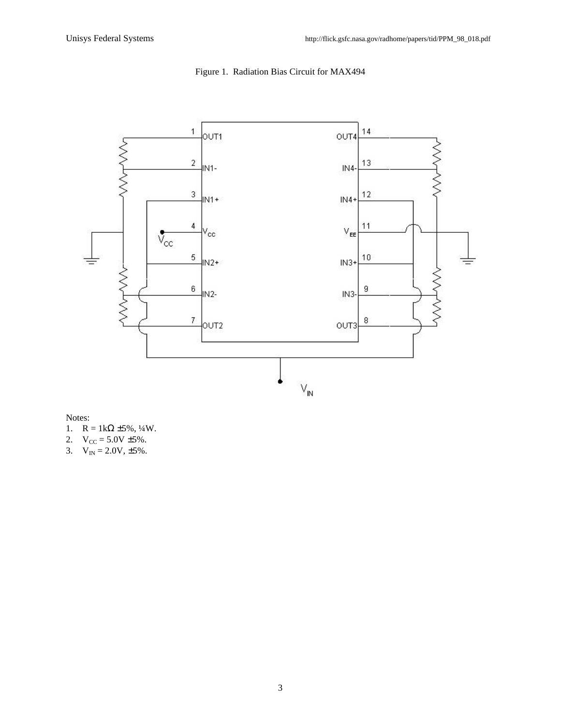

## Figure 1. Radiation Bias Circuit for MAX494

Notes:

- 1.  $R = 1k\Omega \pm 5\%, \frac{1}{4}W$ .
- 2.  $V_{CC} = 5.0V \pm 5\%$ .
- 3.  $V_{IN} = 2.0V, \pm 5\%$ .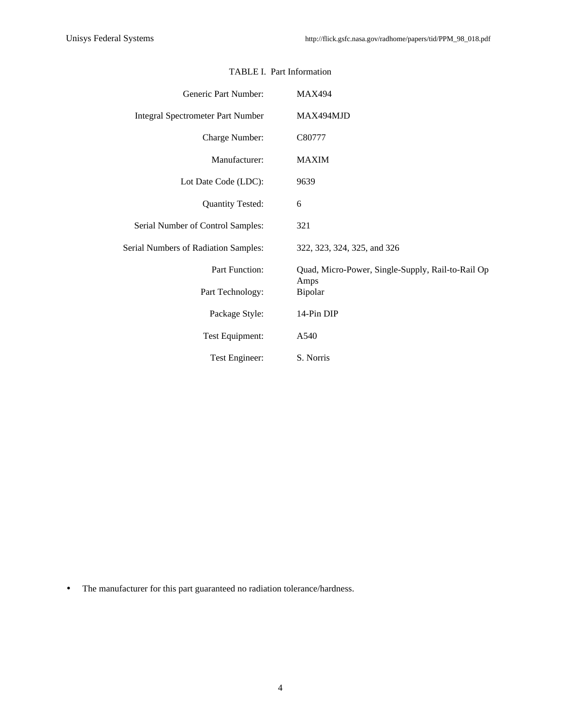| Generic Part Number:                     | <b>MAX494</b>                                     |
|------------------------------------------|---------------------------------------------------|
| <b>Integral Spectrometer Part Number</b> | MAX494MJD                                         |
| Charge Number:                           | C80777                                            |
| Manufacturer:                            | <b>MAXIM</b>                                      |
| Lot Date Code (LDC):                     | 9639                                              |
| <b>Quantity Tested:</b>                  | 6                                                 |
| Serial Number of Control Samples:        | 321                                               |
| Serial Numbers of Radiation Samples:     | 322, 323, 324, 325, and 326                       |
| Part Function:                           | Quad, Micro-Power, Single-Supply, Rail-to-Rail Op |
| Part Technology:                         | Amps<br>Bipolar                                   |
| Package Style:                           | 14-Pin DIP                                        |
| Test Equipment:                          | A540                                              |
| Test Engineer:                           | S. Norris                                         |

### TABLE I. Part Information

• The manufacturer for this part guaranteed no radiation tolerance/hardness.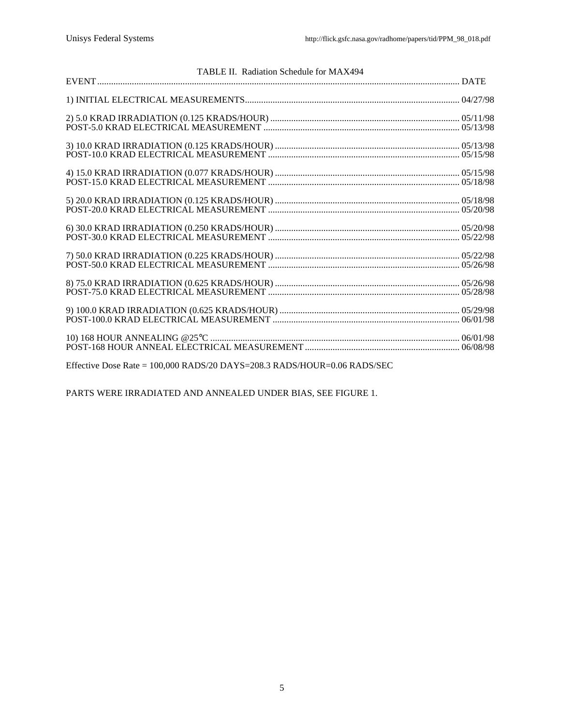| TABLE II. Radiation Schedule for MAX494 |  |
|-----------------------------------------|--|
|                                         |  |
|                                         |  |
|                                         |  |
|                                         |  |
|                                         |  |
|                                         |  |
|                                         |  |
|                                         |  |
|                                         |  |
|                                         |  |

Effective Dose Rate = 100,000 RADS/20 DAYS=208.3 RADS/HOUR=0.06 RADS/SEC

PARTS WERE IRRADIATED AND ANNEALED UNDER BIAS, SEE FIGURE 1.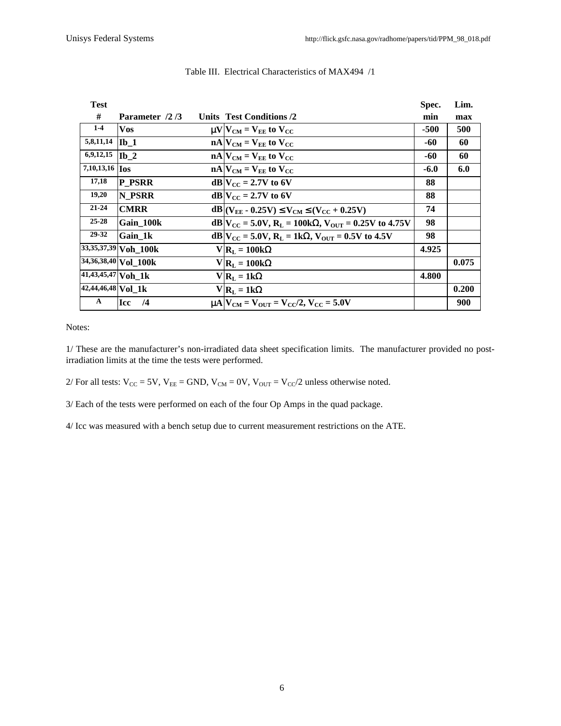| <b>Test</b>           |                           |                                                                                | Spec.  | Lim.  |
|-----------------------|---------------------------|--------------------------------------------------------------------------------|--------|-------|
| #                     | Parameter /2/3            | <b>Units Test Conditions /2</b>                                                | min    | max   |
| $1-4$                 | <b>Vos</b>                | $\mu$ V $ V_{CM}$ = V <sub>EE</sub> to V <sub>CC</sub>                         | -500   | 500   |
| 5,8,11,14             | $Ib_1$                    | $nA V_{CM} = V_{EE}$ to $V_{CC}$                                               | -60    | 60    |
| 6,9,12,15             | $\mathbf{I} \mathbf{b}$ 2 | $nA$ $V_{CM}$ = $V_{EE}$ to $V_{CC}$                                           | -60    | 60    |
| 7,10,13,16 <b>Ios</b> |                           | $nA$ $V_{CM}$ = $V_{EE}$ to $V_{CC}$                                           | $-6.0$ | 6.0   |
| 17,18                 | <b>P</b> PSRR             | $dB V_{CC} = 2.7V$ to 6V                                                       | 88     |       |
| 19,20                 | N PSRR                    | $dB V_{CC} = 2.7V$ to 6V                                                       | 88     |       |
| $21 - 24$             | <b>CMRR</b>               | $dB (V_{EF} - 0.25V) \le V_{CM} \le (V_{CC} + 0.25V)$                          | 74     |       |
| $25 - 28$             | Gain 100k                 | $dB V_{CC} = 5.0V$ , R <sub>L</sub> = 100kΩ, V <sub>OUT</sub> = 0.25V to 4.75V | 98     |       |
| 29-32                 | Gain 1k                   | $dB V_{CC} = 5.0V$ , R <sub>L</sub> = 1kΩ, V <sub>OUT</sub> = 0.5V to 4.5V     | 98     |       |
|                       | 33,35,37,39 Voh 100k      | $V R_L = 100k\Omega$                                                           | 4.925  |       |
|                       | 34,36,38,40 Vol 100k      | $V R_L = 100k\Omega$                                                           |        | 0.075 |
| $41,43,45,47$ Voh_1k  |                           | $V R_{L} = 1k\Omega$                                                           | 4.800  |       |
| $42,44,46,48$ Vol 1k  |                           | $V R_L = 1k\Omega$                                                             |        | 0.200 |
| A                     | Icc<br>/4                 | $\mu$ A $V_{CM}$ = $V_{OUT}$ = $V_{CC}/2$ , $V_{CC}$ = 5.0V                    |        | 900   |

#### Table III. Electrical Characteristics of MAX494 /1

Notes:

1/ These are the manufacturer's non-irradiated data sheet specification limits. The manufacturer provided no postirradiation limits at the time the tests were performed.

2/ For all tests:  $V_{CC} = 5V$ ,  $V_{EE} =$  GND,  $V_{CM} = 0V$ ,  $V_{OUT} = V_{CC}/2$  unless otherwise noted.

3/ Each of the tests were performed on each of the four Op Amps in the quad package.

4/ Icc was measured with a bench setup due to current measurement restrictions on the ATE.

6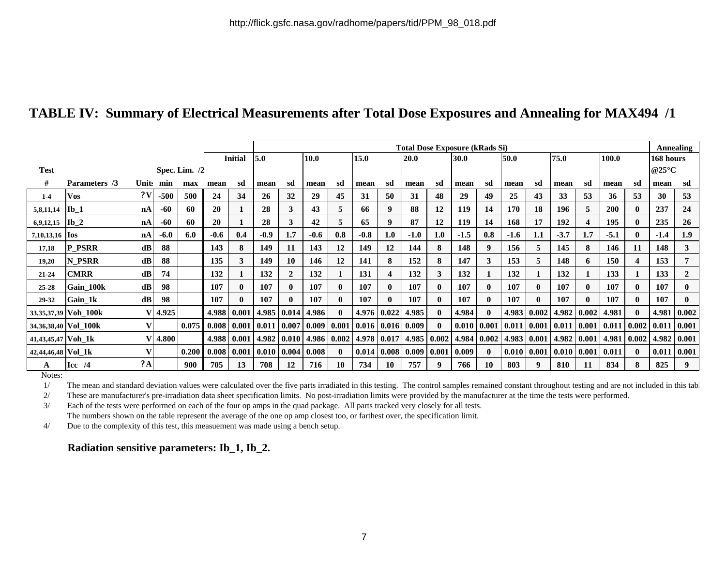# **TABLE IV: Summary of Electrical Measurements after Total Dose Exposures and Annealing for MAX494 /1**

|                       |                      |               |           |       |        |                | <b>Total Dose Exposure (kRads Si)</b> |                    |               |                     |                                    |                         |        |              |        |              |        |       | Annealing                               |              |              |                      |        |              |
|-----------------------|----------------------|---------------|-----------|-------|--------|----------------|---------------------------------------|--------------------|---------------|---------------------|------------------------------------|-------------------------|--------|--------------|--------|--------------|--------|-------|-----------------------------------------|--------------|--------------|----------------------|--------|--------------|
|                       |                      |               |           |       |        | <b>Initial</b> | 10.0<br>5.0                           |                    |               | 15.0<br><b>20.0</b> |                                    |                         | 30.0   |              | 50.0   | 75.0         |        | 100.0 |                                         |              | 168 hours    |                      |        |              |
| <b>Test</b>           | Spec. Lim. $/2$      |               |           |       |        |                |                                       |                    |               |                     |                                    |                         |        |              |        |              |        |       |                                         |              |              | @25 $\rm{^{\circ}C}$ |        |              |
| #                     | Parameters /3        |               | Units min | max   | mean   | sd             | mean                                  | sd                 | mean          | sd                  | mean                               | sd                      | mean   | sd           | mean   | sd           | mean   | sd    | mean                                    | sd           | mean         | sd                   | mean   | sd           |
| $1-4$                 | <b>Vos</b>           | 2V            | $-500$    | 500   | 24     | 34             | 26                                    | 32                 | 29            | 45                  | 31                                 | 50                      | 31     | 48           | 29     | 49           | 25     | 43    | 33                                      | 53           | 36           | 53                   | 30     | 53           |
| 5,8,11,14             | $Ib$ 1               | nA            | $-60$     | 60    | 20     |                | 28                                    | 3                  | 43            | 5                   | 66                                 | 9                       | 88     | 12           | 119    | 14           | 170    | 18    | 196                                     | 5            | <b>200</b>   | $\mathbf{0}$         | 237    | 24           |
| 6,9,12,15             | $Ib_2$               | nA            | -60       | 60    | 20     |                | 28                                    | 3                  | 42            | 5                   | 65                                 | 9                       | 87     | 12           | 119    | 14           | 168    | 17    | 192                                     | 4            | 195          |                      | 235    | 26           |
| 7,10,13,16 <b>Ios</b> |                      | nA            | $-6.0$    | 6.0   | $-0.6$ | 0.4            | $-0.9$                                | 1.7                | $-0.6$        | 0.8                 | $-0.8$                             | 1.0                     | $-1.0$ | 1.0          | $-1.5$ | 0.8          | $-1.6$ | 1.1   | $-3.7$                                  | 1.7          | $-5.1$       | $\mathbf{0}$         | $-1.4$ | 1.9          |
| 17,18                 | <b>P_PSRR</b>        | dB            | 88        |       | 143    | 8              | 149                                   | 11                 | 143           | 12                  | 149                                | 12                      | 144    | 8            | 148    | 9            | 156    | 5     | 145                                     | 8            | 146          | 11                   | 148    | $\mathbf{3}$ |
| 19,20                 | N_PSRR               | dB            | 88        |       | 135    | 3              | 149                                   | 10                 | 146           | 12                  | 141                                | 8                       | 152    | 8            | 147    | 3            | 153    | 5     | 148                                     | 6            | 150          | Δ                    | 153    | 7            |
| $21 - 24$             | <b>CMRR</b>          | $\mathbf{dB}$ | 74        |       | 132    |                | 132                                   | $\overline{2}$     | 132           |                     | 131                                | $\overline{\mathbf{4}}$ | 132    | 3            | 132    |              | 132    |       | 132                                     |              | 133          |                      | 133    | $\mathbf{2}$ |
| 25-28                 | Gain 100k            | $\mathbf{dB}$ | 98        |       | 107    | $\mathbf{0}$   | 107                                   | $\mathbf{0}$       | 107           | $\mathbf{0}$        | 107                                | $\mathbf{0}$            | 107    | $\mathbf{0}$ | 107    | $\mathbf{0}$ | 107    |       | 107                                     | $\mathbf{0}$ | 107          | $\mathbf{0}$         | 107    | $\mathbf{0}$ |
| 29-32                 | Gain 1k              | $\mathbf{dB}$ | 98        |       | 107    | 0              | 107                                   | $\mathbf{0}$       | 107           | $\mathbf{0}$        | 107                                | $\mathbf{0}$            | 107    | $\mathbf{0}$ | 107    | $\mathbf{0}$ | 107    |       | 107                                     | $\mathbf{0}$ | 107          | $\mathbf{0}$         | 107    | $\mathbf{0}$ |
|                       | 33,35,37,39 Voh_100k |               | 4.925     |       | 4.988  | 0.001          |                                       | 4.985 0.014        | 4.986         | $\mathbf{0}$        |                                    | $4.976 \mid 0.022$      | 4.985  | $\mathbf 0$  | 4.984  | $\mathbf{0}$ | 4.983  |       | $\mid 0.002 \mid 4.982 \mid 0.002 \mid$ |              | 4.981        | $\mathbf{0}$         | 4.981  | 0.002        |
|                       | 34,36,38,40 Vol_100k |               |           | 0.075 | 0.008  | 0.001          | 0.011                                 | $0.007 \mid 0.009$ |               |                     | $0.001 \mid 0.016 \mid 0.016 \mid$ |                         | 0.009  | $\mathbf 0$  | 0.010  | 0.001        | 0.011  |       | $\mid 0.001 \mid 0.011 \mid 0.001 \mid$ |              | 0.011        | 0.002 0.011          |        | 0.001        |
| 41,43,45,47 Voh_1k    |                      |               | 4.800     |       | 4.988  | 0.001          |                                       | $4.982 \mid 0.010$ | 4.986   0.002 |                     | 4.978 0.017                        |                         | 4.985  | 0.002        | 4.984  | 0.002        | 4.983  | 0.001 | 4.982 0.001                             |              | 4.981        | 0.002                | 4.982  | 0.001        |
| 42,44,46,48 Vol 1k    |                      |               |           | 0.200 | 0.008  | 0.001          | 0.010                                 | $0.004 \mid 0.008$ |               | $\mathbf{0}$        | $0.014 \mid 0.008$                 |                         | 0.009  | 0.001        | 0.009  | $\mathbf{0}$ | 0.010  | 0.001 | 0.010 0.001                             |              | $\mid 0.011$ | $\mathbf{0}$         | 0.011  | 0.001        |
| A                     | $\text{Icc}$ /4      | ? A           |           | 900   | 705    | 13             | 708                                   | 12                 | 716           | 10                  | 734                                | 10                      | 757    | q            | 766    | 10           | 803    | -9    | 810                                     | 11           | 834          |                      | 825    | 9            |

Notes:

1/ The mean and standard deviation values were calculated over the five parts irradiated in this testing. The control samples remained constant throughout testing and are not included in this tabl

2/ These are manufacturer's pre-irradiation data sheet specification limits. No post-irradiation limits were provided by the manufacturer at the time the tests were performed.

3/ Each of the tests were performed on each of the four op amps in the quad package. All parts tracked very closely for all tests. The numbers shown on the table represent the average of the one op amp closest too, or farthest over, the specification limit.

4/ Due to the complexity of this test, this measuement was made using a bench setup.

## **Radiation sensitive parameters: Ib\_1, Ib\_2.**